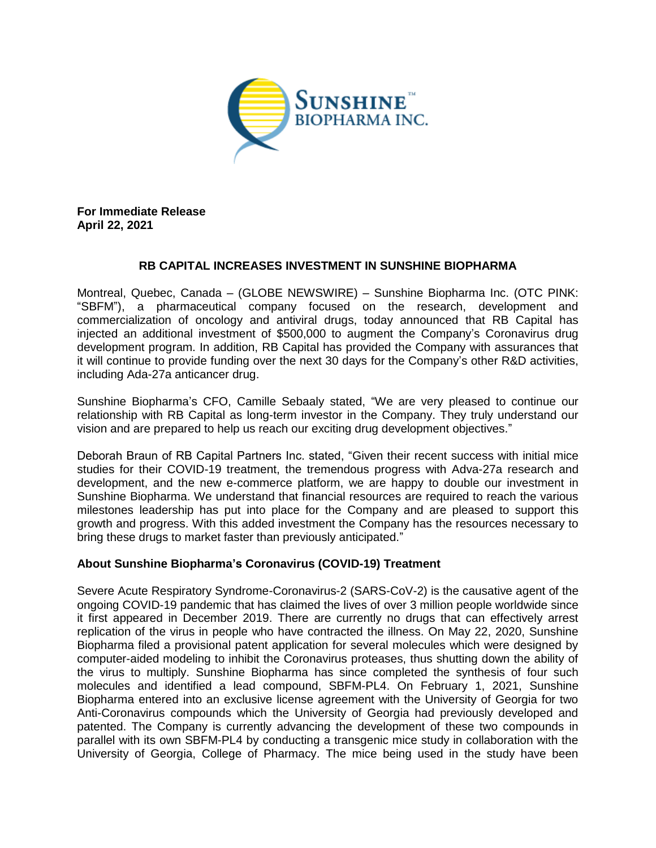

**For Immediate Release April 22, 2021**

## **RB CAPITAL INCREASES INVESTMENT IN SUNSHINE BIOPHARMA**

Montreal, Quebec, Canada – (GLOBE NEWSWIRE) – Sunshine Biopharma Inc. (OTC PINK: "SBFM"), a pharmaceutical company focused on the research, development and commercialization of oncology and antiviral drugs, today announced that RB Capital has injected an additional investment of \$500,000 to augment the Company's Coronavirus drug development program. In addition, RB Capital has provided the Company with assurances that it will continue to provide funding over the next 30 days for the Company's other R&D activities, including Ada-27a anticancer drug.

Sunshine Biopharma's CFO, Camille Sebaaly stated, "We are very pleased to continue our relationship with RB Capital as long-term investor in the Company. They truly understand our vision and are prepared to help us reach our exciting drug development objectives."

Deborah Braun of RB Capital Partners Inc. stated, "Given their recent success with initial mice studies for their COVID-19 treatment, the tremendous progress with Adva-27a research and development, and the new e-commerce platform, we are happy to double our investment in Sunshine Biopharma. We understand that financial resources are required to reach the various milestones leadership has put into place for the Company and are pleased to support this growth and progress. With this added investment the Company has the resources necessary to bring these drugs to market faster than previously anticipated."

## **About Sunshine Biopharma's Coronavirus (COVID-19) Treatment**

Severe Acute Respiratory Syndrome-Coronavirus-2 (SARS-CoV-2) is the causative agent of the ongoing COVID-19 pandemic that has claimed the lives of over 3 million people worldwide since it first appeared in December 2019. There are currently no drugs that can effectively arrest replication of the virus in people who have contracted the illness. On May 22, 2020, Sunshine Biopharma filed a provisional patent application for several molecules which were designed by computer-aided modeling to inhibit the Coronavirus proteases, thus shutting down the ability of the virus to multiply. Sunshine Biopharma has since completed the synthesis of four such molecules and identified a lead compound, SBFM-PL4. On February 1, 2021, Sunshine Biopharma entered into an exclusive license agreement with the University of Georgia for two Anti-Coronavirus compounds which the University of Georgia had previously developed and patented. The Company is currently advancing the development of these two compounds in parallel with its own SBFM-PL4 by conducting a transgenic mice study in collaboration with the University of Georgia, College of Pharmacy. The mice being used in the study have been